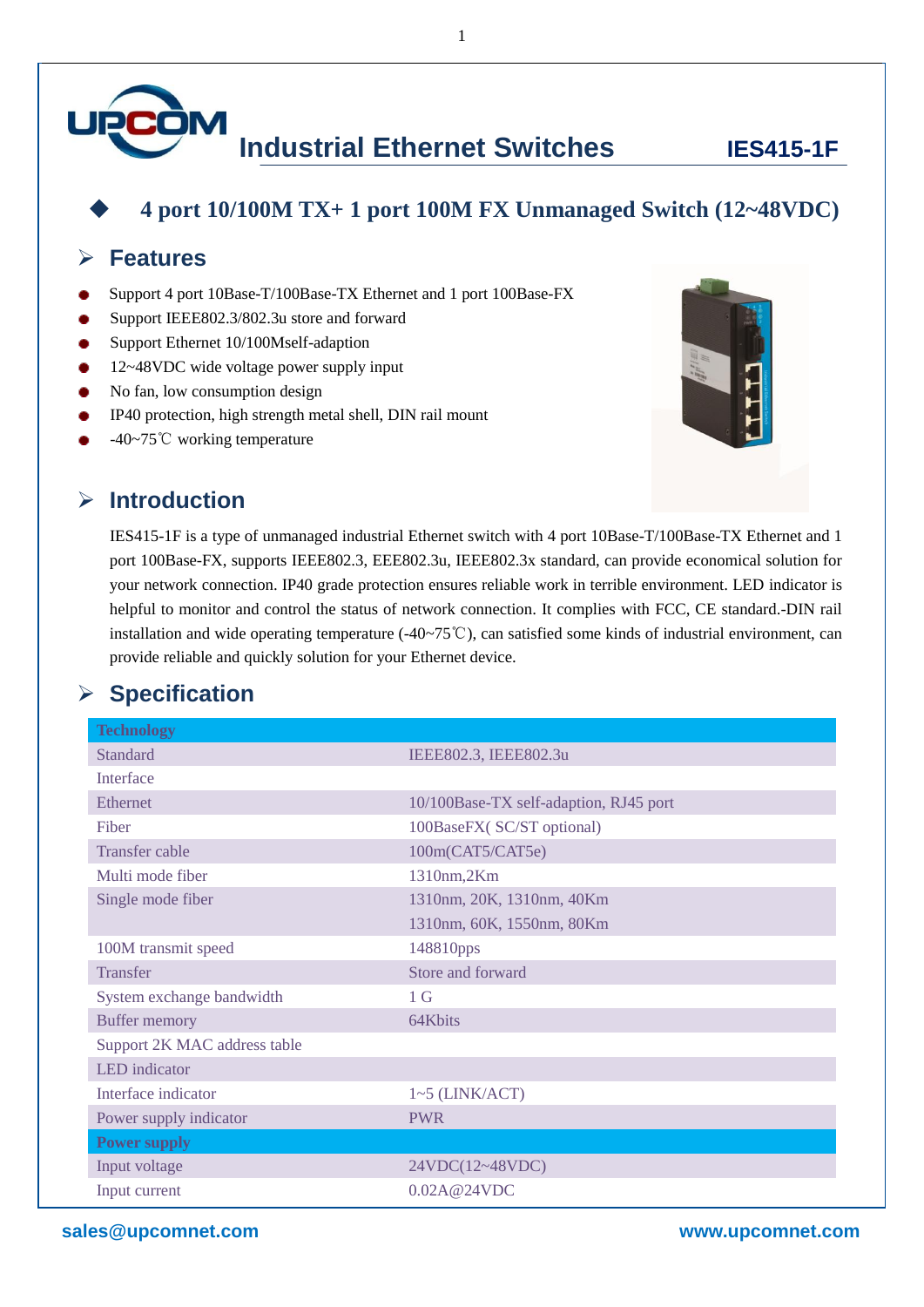

#### **4 port 10/100M TX+ 1 port 100M FX Unmanaged Switch (12~48VDC)**

#### **Features**

- Support 4 port 10Base-T/100Base-TX Ethernet and 1 port 100Base-FX
- Support IEEE802.3/802.3u store and forward
- Support Ethernet 10/100Mself-adaption
- 12~48VDC wide voltage power supply input
- No fan, low consumption design
- IP40 protection, high strength metal shell, DIN rail mount
- -40~75℃ working temperature



IES415-1F is a type of unmanaged industrial Ethernet switch with 4 port 10Base-T/100Base-TX Ethernet and 1 port 100Base-FX, supports IEEE802.3, EEE802.3u, IEEE802.3x standard, can provide economical solution for your network connection. IP40 grade protection ensures reliable work in terrible environment. LED indicator is helpful to monitor and control the status of network connection. It complies with FCC, CE standard.-DIN rail installation and wide operating temperature (-40~75℃), can satisfied some kinds of industrial environment, can provide reliable and quickly solution for your Ethernet device.

### **Specification**

| <b>Technology</b>            |                                        |
|------------------------------|----------------------------------------|
| <b>Standard</b>              | IEEE802.3, IEEE802.3u                  |
| Interface                    |                                        |
| <b>Ethernet</b>              | 10/100Base-TX self-adaption, RJ45 port |
| Fiber                        | 100BaseFX(SC/ST optional)              |
| <b>Transfer cable</b>        | 100m(CAT5/CAT5e)                       |
| Multi mode fiber             | 1310nm,2Km                             |
| Single mode fiber            | 1310nm, 20K, 1310nm, 40Km              |
|                              | 1310nm, 60K, 1550nm, 80Km              |
| 100M transmit speed          | 148810pps                              |
| <b>Transfer</b>              | Store and forward                      |
| System exchange bandwidth    | 1 <sub>G</sub>                         |
| <b>Buffer memory</b>         | 64Kbits                                |
| Support 2K MAC address table |                                        |
| <b>LED</b> indicator         |                                        |
| Interface indicator          | $1~5$ (LINK/ACT)                       |
| Power supply indicator       | <b>PWR</b>                             |
| <b>Power supply</b>          |                                        |
| Input voltage                | 24VDC(12~48VDC)                        |
| Input current                | 0.02A@24VDC                            |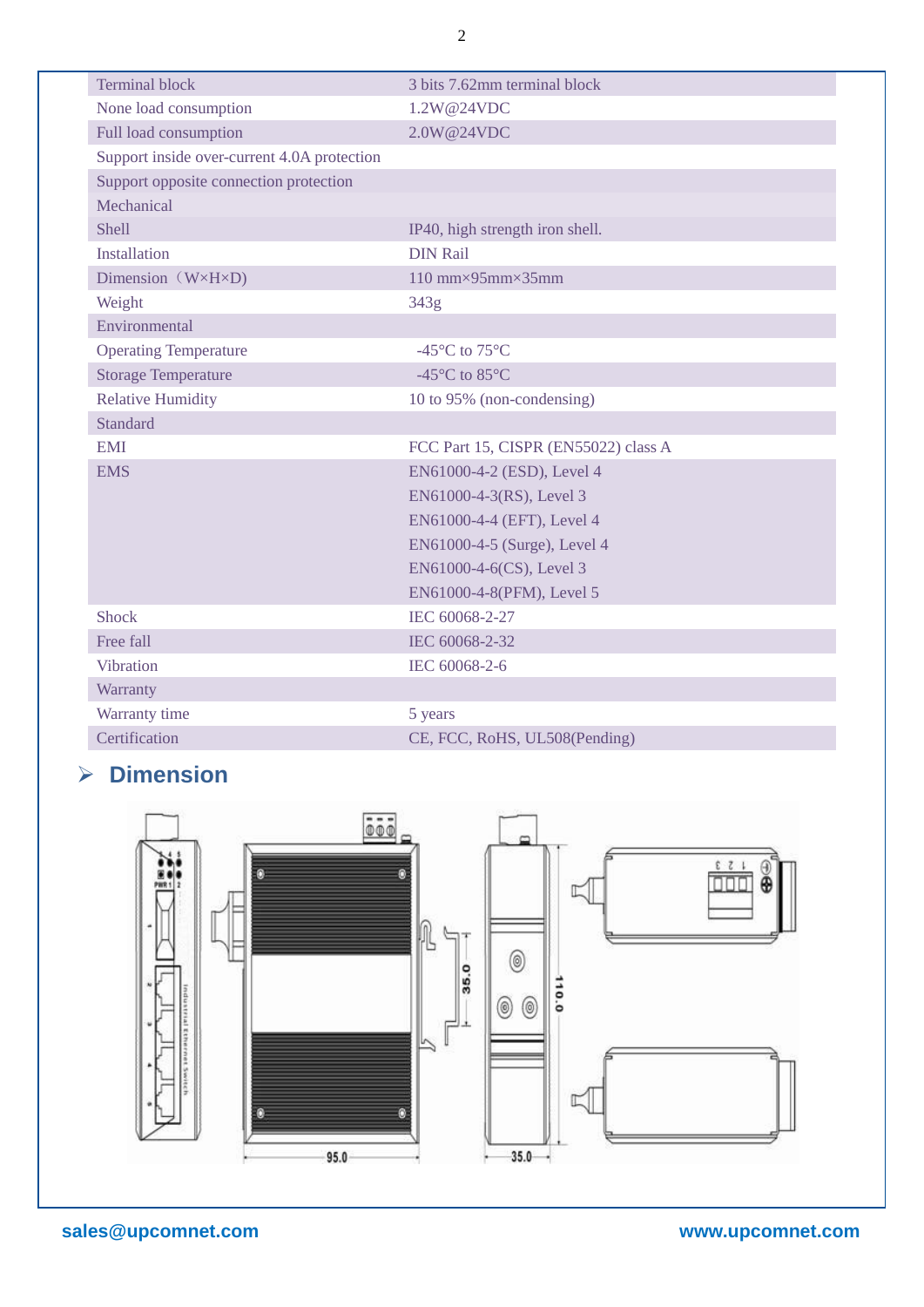| <b>Terminal block</b>                       | 3 bits 7.62mm terminal block         |
|---------------------------------------------|--------------------------------------|
| None load consumption                       | 1.2W@24VDC                           |
| Full load consumption                       | 2.0W@24VDC                           |
| Support inside over-current 4.0A protection |                                      |
| Support opposite connection protection      |                                      |
| Mechanical                                  |                                      |
| <b>Shell</b>                                | IP40, high strength iron shell.      |
| Installation                                | <b>DIN Rail</b>                      |
| Dimension $(W \times H \times D)$           | 110 mm $\times$ 95mm $\times$ 35mm   |
| Weight                                      | 343g                                 |
| Environmental                               |                                      |
| <b>Operating Temperature</b>                | -45 °C to 75 °C                      |
| <b>Storage Temperature</b>                  | -45 °C to 85 °C                      |
| <b>Relative Humidity</b>                    | 10 to 95% (non-condensing)           |
| Standard                                    |                                      |
| <b>EMI</b>                                  | FCC Part 15, CISPR (EN55022) class A |
| <b>EMS</b>                                  | EN61000-4-2 (ESD), Level 4           |
|                                             | EN61000-4-3(RS), Level 3             |
|                                             | EN61000-4-4 (EFT), Level 4           |
|                                             | EN61000-4-5 (Surge), Level 4         |
|                                             | EN61000-4-6(CS), Level 3             |
|                                             | EN61000-4-8(PFM), Level 5            |
| <b>Shock</b>                                | IEC 60068-2-27                       |
| Free fall                                   | IEC 60068-2-32                       |
| <b>Vibration</b>                            | IEC 60068-2-6                        |
| Warranty                                    |                                      |
| Warranty time                               | 5 years                              |
| Certification                               | CE, FCC, RoHS, UL508(Pending)        |

# **Dimension**